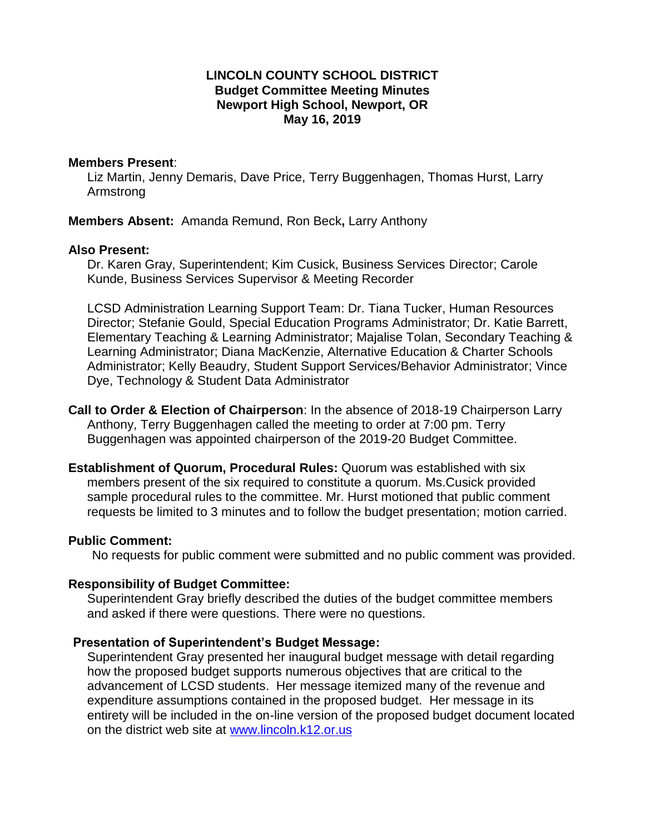# **LINCOLN COUNTY SCHOOL DISTRICT Budget Committee Meeting Minutes Newport High School, Newport, OR May 16, 2019**

#### **Members Present**:

Liz Martin, Jenny Demaris, Dave Price, Terry Buggenhagen, Thomas Hurst, Larry Armstrong

 **Members Absent:** Amanda Remund, Ron Beck**,** Larry Anthony

#### **Also Present:**

Dr. Karen Gray, Superintendent; Kim Cusick, Business Services Director; Carole Kunde, Business Services Supervisor & Meeting Recorder

 Director; Stefanie Gould, Special Education Programs Administrator; Dr. Katie Barrett, LCSD Administration Learning Support Team: Dr. Tiana Tucker, Human Resources Elementary Teaching & Learning Administrator; Majalise Tolan, Secondary Teaching & Learning Administrator; Diana MacKenzie, Alternative Education & Charter Schools Administrator; Kelly Beaudry, Student Support Services/Behavior Administrator; Vince Dye, Technology & Student Data Administrator

 **Call to Order & Election of Chairperson**: In the absence of 2018-19 Chairperson Larry Anthony, Terry Buggenhagen called the meeting to order at 7:00 pm. Terry Buggenhagen was appointed chairperson of the 2019-20 Budget Committee.

 sample procedural rules to the committee. Mr. Hurst motioned that public comment requests be limited to 3 minutes and to follow the budget presentation; motion carried. **Establishment of Quorum, Procedural Rules:** Quorum was established with six members present of the six required to constitute a quorum. Ms.Cusick provided

# **Public Comment:**

No requests for public comment were submitted and no public comment was provided.

# **Responsibility of Budget Committee:**

Superintendent Gray briefly described the duties of the budget committee members and asked if there were questions. There were no questions.

# **Presentation of Superintendent's Budget Message:**

 advancement of LCSD students. Her message itemized many of the revenue and expenditure assumptions contained in the proposed budget. Her message in its entirety will be included in the on-line version of the proposed budget document located Superintendent Gray presented her inaugural budget message with detail regarding how the proposed budget supports numerous objectives that are critical to the on the district web site at [www.lincoln.k12.or.us](http://www.lincoln.k12.or.us/)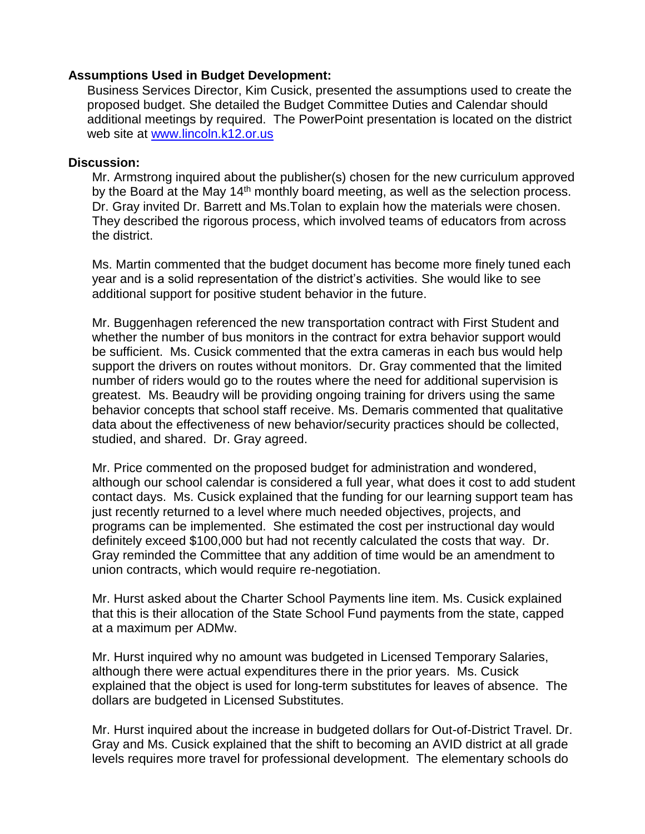#### **Assumptions Used in Budget Development:**

Business Services Director, Kim Cusick, presented the assumptions used to create the proposed budget. She detailed the Budget Committee Duties and Calendar should additional meetings by required. The PowerPoint presentation is located on the district web site at [www.lincoln.k12.or.us](http://www.lincoln.k12.or.us/) 

#### **Discussion:**

Dr. Gray invited Dr. Barrett and Ms. Tolan to explain how the materials were chosen. Mr. Armstrong inquired about the publisher(s) chosen for the new curriculum approved by the Board at the May 14<sup>th</sup> monthly board meeting, as well as the selection process. They described the rigorous process, which involved teams of educators from across the district.

 Ms. Martin commented that the budget document has become more finely tuned each year and is a solid representation of the district's activities. She would like to see additional support for positive student behavior in the future.

 number of riders would go to the routes where the need for additional supervision is greatest. Ms. Beaudry will be providing ongoing training for drivers using the same data about the effectiveness of new behavior/security practices should be collected, Mr. Buggenhagen referenced the new transportation contract with First Student and whether the number of bus monitors in the contract for extra behavior support would be sufficient. Ms. Cusick commented that the extra cameras in each bus would help support the drivers on routes without monitors. Dr. Gray commented that the limited behavior concepts that school staff receive. Ms. Demaris commented that qualitative studied, and shared. Dr. Gray agreed.

 Mr. Price commented on the proposed budget for administration and wondered, although our school calendar is considered a full year, what does it cost to add student contact days. Ms. Cusick explained that the funding for our learning support team has just recently returned to a level where much needed objectives, projects, and programs can be implemented. She estimated the cost per instructional day would definitely exceed \$100,000 but had not recently calculated the costs that way. Dr. Gray reminded the Committee that any addition of time would be an amendment to union contracts, which would require re-negotiation.

 at a maximum per ADMw. Mr. Hurst asked about the Charter School Payments line item. Ms. Cusick explained that this is their allocation of the State School Fund payments from the state, capped

 explained that the object is used for long-term substitutes for leaves of absence. The Mr. Hurst inquired why no amount was budgeted in Licensed Temporary Salaries, although there were actual expenditures there in the prior years. Ms. Cusick dollars are budgeted in Licensed Substitutes.

 levels requires more travel for professional development. The elementary schools do Mr. Hurst inquired about the increase in budgeted dollars for Out-of-District Travel. Dr. Gray and Ms. Cusick explained that the shift to becoming an AVID district at all grade